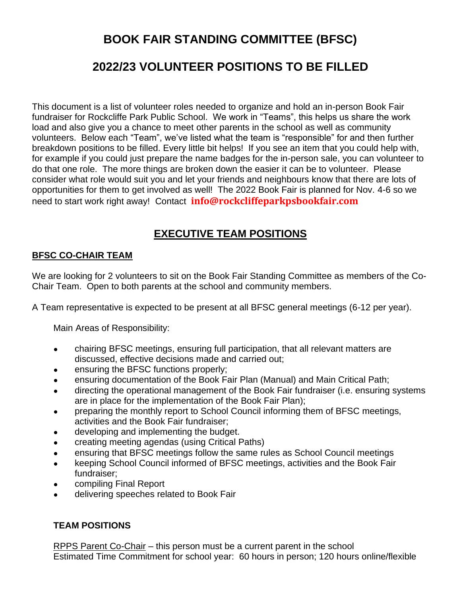# **BOOK FAIR STANDING COMMITTEE (BFSC)**

# **2022/23 VOLUNTEER POSITIONS TO BE FILLED**

This document is a list of volunteer roles needed to organize and hold an in-person Book Fair fundraiser for Rockcliffe Park Public School. We work in "Teams", this helps us share the work load and also give you a chance to meet other parents in the school as well as community volunteers. Below each "Team", we've listed what the team is "responsible" for and then further breakdown positions to be filled. Every little bit helps! If you see an item that you could help with, for example if you could just prepare the name badges for the in-person sale, you can volunteer to do that one role. The more things are broken down the easier it can be to volunteer. Please consider what role would suit you and let your friends and neighbours know that there are lots of opportunities for them to get involved as well! The 2022 Book Fair is planned for Nov. 4-6 so we need to start work right away! Contact **[info@rockcliffeparkpsbookfair.com](mailto:info@rockcliffeparkpsbookfair.com)**

## **EXECUTIVE TEAM POSITIONS**

#### **BFSC CO-CHAIR TEAM**

We are looking for 2 volunteers to sit on the Book Fair Standing Committee as members of the Co-Chair Team. Open to both parents at the school and community members.

A Team representative is expected to be present at all BFSC general meetings (6-12 per year).

Main Areas of Responsibility:

- chairing BFSC meetings, ensuring full participation, that all relevant matters are discussed, effective decisions made and carried out;
- ensuring the BFSC functions properly;
- ensuring documentation of the Book Fair Plan (Manual) and Main Critical Path;
- directing the operational management of the Book Fair fundraiser (i.e. ensuring systems are in place for the implementation of the Book Fair Plan);
- preparing the monthly report to School Council informing them of BFSC meetings, activities and the Book Fair fundraiser;
- developing and implementing the budget.
- creating meeting agendas (using Critical Paths)
- ensuring that BFSC meetings follow the same rules as School Council meetings
- keeping School Council informed of BFSC meetings, activities and the Book Fair fundraiser;
- compiling Final Report
- delivering speeches related to Book Fair

## **TEAM POSITIONS**

RPPS Parent Co-Chair – this person must be a current parent in the school Estimated Time Commitment for school year: 60 hours in person; 120 hours online/flexible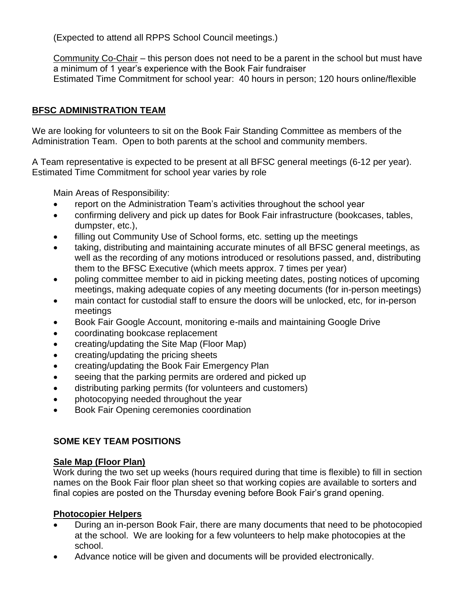(Expected to attend all RPPS School Council meetings.)

Community Co-Chair – this person does not need to be a parent in the school but must have a minimum of 1 year's experience with the Book Fair fundraiser Estimated Time Commitment for school year: 40 hours in person; 120 hours online/flexible

#### **BFSC ADMINISTRATION TEAM**

We are looking for volunteers to sit on the Book Fair Standing Committee as members of the Administration Team. Open to both parents at the school and community members.

A Team representative is expected to be present at all BFSC general meetings (6-12 per year). Estimated Time Commitment for school year varies by role

Main Areas of Responsibility:

- report on the Administration Team's activities throughout the school year
- confirming delivery and pick up dates for Book Fair infrastructure (bookcases, tables, dumpster, etc.),
- filling out Community Use of School forms, etc. setting up the meetings
- taking, distributing and maintaining accurate minutes of all BFSC general meetings, as well as the recording of any motions introduced or resolutions passed, and, distributing them to the BFSC Executive (which meets approx. 7 times per year)
- poling committee member to aid in picking meeting dates, posting notices of upcoming meetings, making adequate copies of any meeting documents (for in-person meetings)
- main contact for custodial staff to ensure the doors will be unlocked, etc, for in-person meetings
- Book Fair Google Account, monitoring e-mails and maintaining Google Drive
- coordinating bookcase replacement
- creating/updating the Site Map (Floor Map)
- creating/updating the pricing sheets
- creating/updating the Book Fair Emergency Plan
- seeing that the parking permits are ordered and picked up
- distributing parking permits (for volunteers and customers)
- photocopying needed throughout the year
- Book Fair Opening ceremonies coordination

#### **SOME KEY TEAM POSITIONS**

#### **Sale Map (Floor Plan)**

Work during the two set up weeks (hours required during that time is flexible) to fill in section names on the Book Fair floor plan sheet so that working copies are available to sorters and final copies are posted on the Thursday evening before Book Fair's grand opening.

#### **Photocopier Helpers**

- During an in-person Book Fair, there are many documents that need to be photocopied at the school. We are looking for a few volunteers to help make photocopies at the school.
- Advance notice will be given and documents will be provided electronically.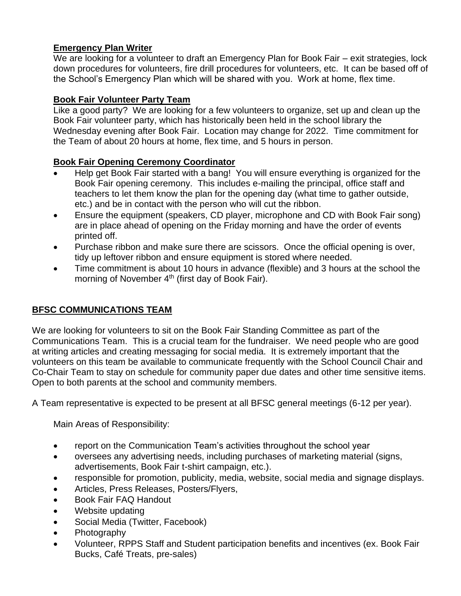#### **Emergency Plan Writer**

We are looking for a volunteer to draft an Emergency Plan for Book Fair – exit strategies, lock down procedures for volunteers, fire drill procedures for volunteers, etc. It can be based off of the School's Emergency Plan which will be shared with you. Work at home, flex time.

#### **Book Fair Volunteer Party Team**

Like a good party? We are looking for a few volunteers to organize, set up and clean up the Book Fair volunteer party, which has historically been held in the school library the Wednesday evening after Book Fair. Location may change for 2022. Time commitment for the Team of about 20 hours at home, flex time, and 5 hours in person.

#### **Book Fair Opening Ceremony Coordinator**

- Help get Book Fair started with a bang! You will ensure everything is organized for the Book Fair opening ceremony. This includes e-mailing the principal, office staff and teachers to let them know the plan for the opening day (what time to gather outside, etc.) and be in contact with the person who will cut the ribbon.
- Ensure the equipment (speakers, CD player, microphone and CD with Book Fair song) are in place ahead of opening on the Friday morning and have the order of events printed off.
- Purchase ribbon and make sure there are scissors. Once the official opening is over, tidy up leftover ribbon and ensure equipment is stored where needed.
- Time commitment is about 10 hours in advance (flexible) and 3 hours at the school the morning of November 4<sup>th</sup> (first day of Book Fair).

## **BFSC COMMUNICATIONS TEAM**

We are looking for volunteers to sit on the Book Fair Standing Committee as part of the Communications Team. This is a crucial team for the fundraiser. We need people who are good at writing articles and creating messaging for social media. It is extremely important that the volunteers on this team be available to communicate frequently with the School Council Chair and Co-Chair Team to stay on schedule for community paper due dates and other time sensitive items. Open to both parents at the school and community members.

A Team representative is expected to be present at all BFSC general meetings (6-12 per year).

Main Areas of Responsibility:

- report on the Communication Team's activities throughout the school year
- oversees any advertising needs, including purchases of marketing material (signs, advertisements, Book Fair t-shirt campaign, etc.).
- responsible for promotion, publicity, media, website, social media and signage displays.
- Articles, Press Releases, Posters/Flyers,
- Book Fair FAQ Handout
- Website updating
- Social Media (Twitter, Facebook)
- Photography
- Volunteer, RPPS Staff and Student participation benefits and incentives (ex. Book Fair Bucks, Café Treats, pre-sales)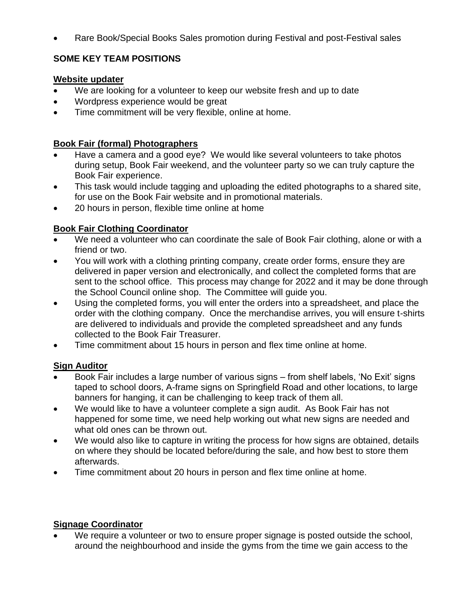• Rare Book/Special Books Sales promotion during Festival and post-Festival sales

## **SOME KEY TEAM POSITIONS**

#### **Website updater**

- We are looking for a volunteer to keep our website fresh and up to date
- Wordpress experience would be great
- Time commitment will be very flexible, online at home.

## **Book Fair (formal) Photographers**

- Have a camera and a good eye? We would like several volunteers to take photos during setup, Book Fair weekend, and the volunteer party so we can truly capture the Book Fair experience.
- This task would include tagging and uploading the edited photographs to a shared site, for use on the Book Fair website and in promotional materials.
- 20 hours in person, flexible time online at home

## **Book Fair Clothing Coordinator**

- We need a volunteer who can coordinate the sale of Book Fair clothing, alone or with a friend or two.
- You will work with a clothing printing company, create order forms, ensure they are delivered in paper version and electronically, and collect the completed forms that are sent to the school office. This process may change for 2022 and it may be done through the School Council online shop. The Committee will guide you.
- Using the completed forms, you will enter the orders into a spreadsheet, and place the order with the clothing company. Once the merchandise arrives, you will ensure t-shirts are delivered to individuals and provide the completed spreadsheet and any funds collected to the Book Fair Treasurer.
- Time commitment about 15 hours in person and flex time online at home.

## **Sign Auditor**

- Book Fair includes a large number of various signs from shelf labels, 'No Exit' signs taped to school doors, A-frame signs on Springfield Road and other locations, to large banners for hanging, it can be challenging to keep track of them all.
- We would like to have a volunteer complete a sign audit. As Book Fair has not happened for some time, we need help working out what new signs are needed and what old ones can be thrown out.
- We would also like to capture in writing the process for how signs are obtained, details on where they should be located before/during the sale, and how best to store them afterwards.
- Time commitment about 20 hours in person and flex time online at home.

## **Signage Coordinator**

We require a volunteer or two to ensure proper signage is posted outside the school, around the neighbourhood and inside the gyms from the time we gain access to the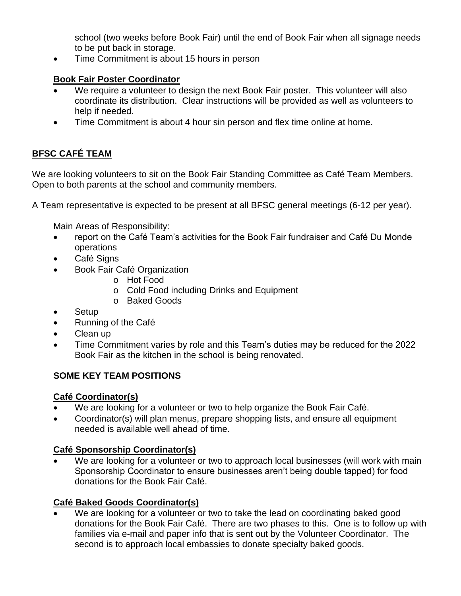school (two weeks before Book Fair) until the end of Book Fair when all signage needs to be put back in storage.

• Time Commitment is about 15 hours in person

## **Book Fair Poster Coordinator**

- We require a volunteer to design the next Book Fair poster. This volunteer will also coordinate its distribution. Clear instructions will be provided as well as volunteers to help if needed.
- Time Commitment is about 4 hour sin person and flex time online at home.

## **BFSC CAFÉ TEAM**

We are looking volunteers to sit on the Book Fair Standing Committee as Café Team Members. Open to both parents at the school and community members.

A Team representative is expected to be present at all BFSC general meetings (6-12 per year).

Main Areas of Responsibility:

- report on the Café Team's activities for the Book Fair fundraiser and Café Du Monde operations
- Café Signs
- Book Fair Café Organization
	- o Hot Food
	- o Cold Food including Drinks and Equipment
	- o Baked Goods
- Setup
- Running of the Café
- Clean up
- Time Commitment varies by role and this Team's duties may be reduced for the 2022 Book Fair as the kitchen in the school is being renovated.

## **SOME KEY TEAM POSITIONS**

## **Café Coordinator(s)**

- We are looking for a volunteer or two to help organize the Book Fair Café.
- Coordinator(s) will plan menus, prepare shopping lists, and ensure all equipment needed is available well ahead of time.

## **Café Sponsorship Coordinator(s)**

We are looking for a volunteer or two to approach local businesses (will work with main Sponsorship Coordinator to ensure businesses aren't being double tapped) for food donations for the Book Fair Café.

## **Café Baked Goods Coordinator(s)**

We are looking for a volunteer or two to take the lead on coordinating baked good donations for the Book Fair Café. There are two phases to this. One is to follow up with families via e-mail and paper info that is sent out by the Volunteer Coordinator. The second is to approach local embassies to donate specialty baked goods.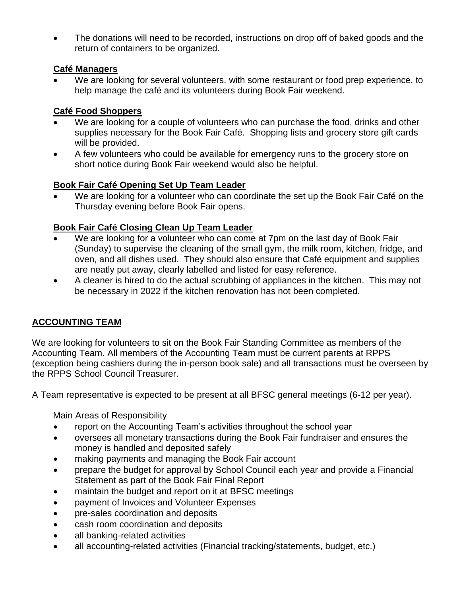The donations will need to be recorded, instructions on drop off of baked goods and the return of containers to be organized.

#### **Café Managers**

We are looking for several volunteers, with some restaurant or food prep experience, to help manage the café and its volunteers during Book Fair weekend.

#### **Café Food Shoppers**

- We are looking for a couple of volunteers who can purchase the food, drinks and other supplies necessary for the Book Fair Café. Shopping lists and grocery store gift cards will be provided.
- A few volunteers who could be available for emergency runs to the grocery store on short notice during Book Fair weekend would also be helpful.

## **Book Fair Café Opening Set Up Team Leader**

We are looking for a volunteer who can coordinate the set up the Book Fair Café on the Thursday evening before Book Fair opens.

## **Book Fair Café Closing Clean Up Team Leader**

- We are looking for a volunteer who can come at 7pm on the last day of Book Fair (Sunday) to supervise the cleaning of the small gym, the milk room, kitchen, fridge, and oven, and all dishes used. They should also ensure that Café equipment and supplies are neatly put away, clearly labelled and listed for easy reference.
- A cleaner is hired to do the actual scrubbing of appliances in the kitchen. This may not be necessary in 2022 if the kitchen renovation has not been completed.

## **ACCOUNTING TEAM**

We are looking for volunteers to sit on the Book Fair Standing Committee as members of the Accounting Team. All members of the Accounting Team must be current parents at RPPS (exception being cashiers during the in-person book sale) and all transactions must be overseen by the RPPS School Council Treasurer.

A Team representative is expected to be present at all BFSC general meetings (6-12 per year).

Main Areas of Responsibility

- report on the Accounting Team's activities throughout the school year
- oversees all monetary transactions during the Book Fair fundraiser and ensures the money is handled and deposited safely
- making payments and managing the Book Fair account
- prepare the budget for approval by School Council each year and provide a Financial Statement as part of the Book Fair Final Report
- maintain the budget and report on it at BFSC meetings
- payment of Invoices and Volunteer Expenses
- pre-sales coordination and deposits
- cash room coordination and deposits
- all banking-related activities
- all accounting-related activities (Financial tracking/statements, budget, etc.)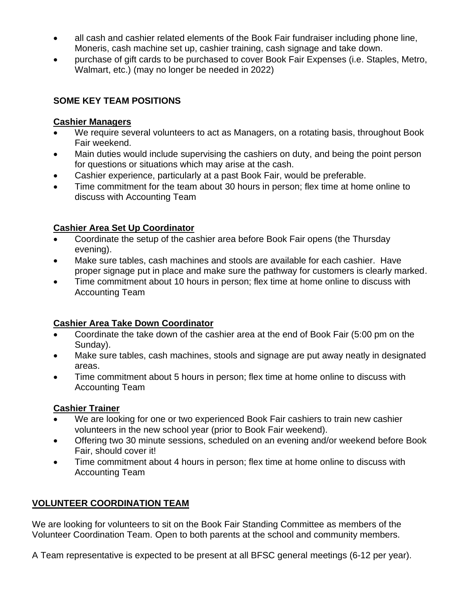- all cash and cashier related elements of the Book Fair fundraiser including phone line, Moneris, cash machine set up, cashier training, cash signage and take down.
- purchase of gift cards to be purchased to cover Book Fair Expenses (i.e. Staples, Metro, Walmart, etc.) (may no longer be needed in 2022)

## **SOME KEY TEAM POSITIONS**

#### **Cashier Managers**

- We require several volunteers to act as Managers, on a rotating basis, throughout Book Fair weekend.
- Main duties would include supervising the cashiers on duty, and being the point person for questions or situations which may arise at the cash.
- Cashier experience, particularly at a past Book Fair, would be preferable.
- Time commitment for the team about 30 hours in person; flex time at home online to discuss with Accounting Team

## **Cashier Area Set Up Coordinator**

- Coordinate the setup of the cashier area before Book Fair opens (the Thursday evening).
- Make sure tables, cash machines and stools are available for each cashier. Have proper signage put in place and make sure the pathway for customers is clearly marked.
- Time commitment about 10 hours in person; flex time at home online to discuss with Accounting Team

## **Cashier Area Take Down Coordinator**

- Coordinate the take down of the cashier area at the end of Book Fair (5:00 pm on the Sunday).
- Make sure tables, cash machines, stools and signage are put away neatly in designated areas.
- Time commitment about 5 hours in person; flex time at home online to discuss with Accounting Team

## **Cashier Trainer**

- We are looking for one or two experienced Book Fair cashiers to train new cashier volunteers in the new school year (prior to Book Fair weekend).
- Offering two 30 minute sessions, scheduled on an evening and/or weekend before Book Fair, should cover it!
- Time commitment about 4 hours in person; flex time at home online to discuss with Accounting Team

## **VOLUNTEER COORDINATION TEAM**

We are looking for volunteers to sit on the Book Fair Standing Committee as members of the Volunteer Coordination Team. Open to both parents at the school and community members.

A Team representative is expected to be present at all BFSC general meetings (6-12 per year).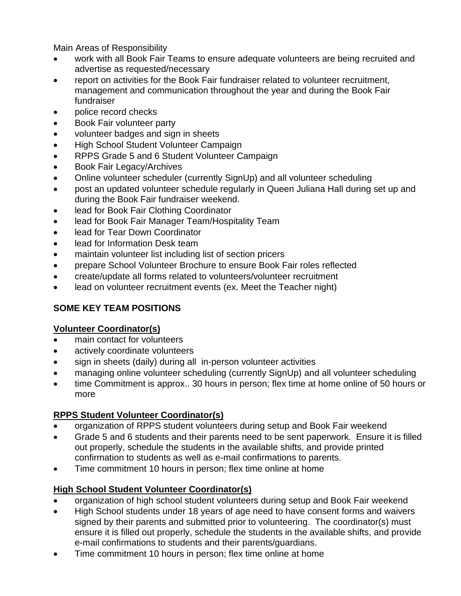Main Areas of Responsibility

- work with all Book Fair Teams to ensure adequate volunteers are being recruited and advertise as requested/necessary
- report on activities for the Book Fair fundraiser related to volunteer recruitment, management and communication throughout the year and during the Book Fair fundraiser
- police record checks
- Book Fair volunteer party
- volunteer badges and sign in sheets
- High School Student Volunteer Campaign
- RPPS Grade 5 and 6 Student Volunteer Campaign
- Book Fair Legacy/Archives
- Online volunteer scheduler (currently SignUp) and all volunteer scheduling
- post an updated volunteer schedule regularly in Queen Juliana Hall during set up and during the Book Fair fundraiser weekend.
- lead for Book Fair Clothing Coordinator
- lead for Book Fair Manager Team/Hospitality Team
- lead for Tear Down Coordinator
- lead for Information Desk team
- maintain volunteer list including list of section pricers
- prepare School Volunteer Brochure to ensure Book Fair roles reflected
- create/update all forms related to volunteers/volunteer recruitment
- lead on volunteer recruitment events (ex. Meet the Teacher night)

## **SOME KEY TEAM POSITIONS**

## **Volunteer Coordinator(s)**

- main contact for volunteers
- actively coordinate volunteers
- sign in sheets (daily) during all in-person volunteer activities
- managing online volunteer scheduling (currently SignUp) and all volunteer scheduling
- time Commitment is approx.. 30 hours in person; flex time at home online of 50 hours or more

## **RPPS Student Volunteer Coordinator(s)**

- organization of RPPS student volunteers during setup and Book Fair weekend
- Grade 5 and 6 students and their parents need to be sent paperwork. Ensure it is filled out properly, schedule the students in the available shifts, and provide printed confirmation to students as well as e-mail confirmations to parents.
- Time commitment 10 hours in person; flex time online at home

## **High School Student Volunteer Coordinator(s)**

- organization of high school student volunteers during setup and Book Fair weekend
- High School students under 18 years of age need to have consent forms and waivers signed by their parents and submitted prior to volunteering. The coordinator(s) must ensure it is filled out properly, schedule the students in the available shifts, and provide e-mail confirmations to students and their parents/guardians.
- Time commitment 10 hours in person; flex time online at home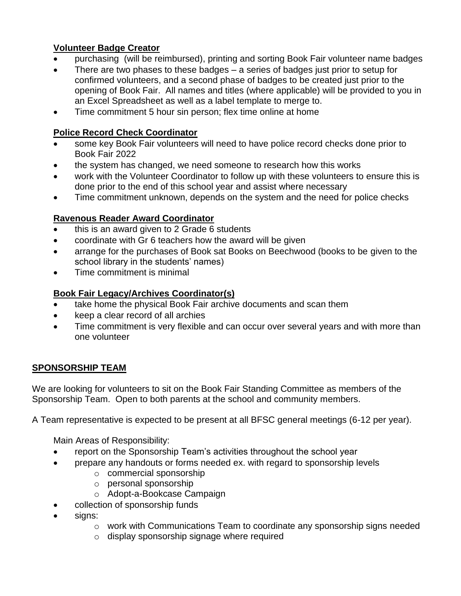#### **Volunteer Badge Creator**

- purchasing (will be reimbursed), printing and sorting Book Fair volunteer name badges
- There are two phases to these badges  $-$  a series of badges just prior to setup for confirmed volunteers, and a second phase of badges to be created just prior to the opening of Book Fair. All names and titles (where applicable) will be provided to you in an Excel Spreadsheet as well as a label template to merge to.
- Time commitment 5 hour sin person; flex time online at home

#### **Police Record Check Coordinator**

- some key Book Fair volunteers will need to have police record checks done prior to Book Fair 2022
- the system has changed, we need someone to research how this works
- work with the Volunteer Coordinator to follow up with these volunteers to ensure this is done prior to the end of this school year and assist where necessary
- Time commitment unknown, depends on the system and the need for police checks

#### **Ravenous Reader Award Coordinator**

- this is an award given to 2 Grade 6 students
- coordinate with Gr 6 teachers how the award will be given
- arrange for the purchases of Book sat Books on Beechwood (books to be given to the school library in the students' names)
- Time commitment is minimal

## **Book Fair Legacy/Archives Coordinator(s)**

- take home the physical Book Fair archive documents and scan them
- keep a clear record of all archies
- Time commitment is very flexible and can occur over several years and with more than one volunteer

## **SPONSORSHIP TEAM**

We are looking for volunteers to sit on the Book Fair Standing Committee as members of the Sponsorship Team. Open to both parents at the school and community members.

A Team representative is expected to be present at all BFSC general meetings (6-12 per year).

Main Areas of Responsibility:

- report on the Sponsorship Team's activities throughout the school year
- prepare any handouts or forms needed ex. with regard to sponsorship levels
	- o commercial sponsorship
	- o personal sponsorship
	- o Adopt-a-Bookcase Campaign
- collection of sponsorship funds
- signs:
	- o work with Communications Team to coordinate any sponsorship signs needed
	- o display sponsorship signage where required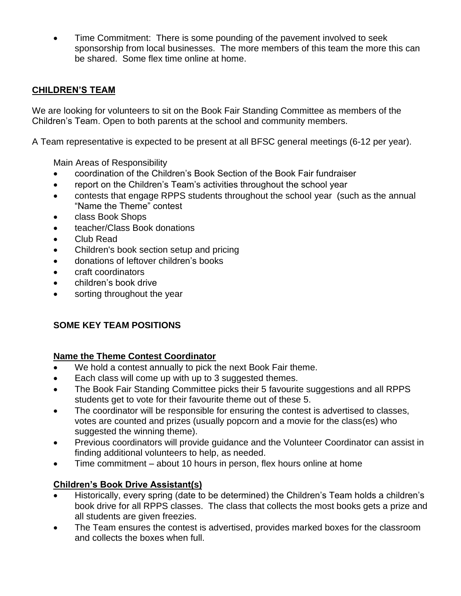• Time Commitment: There is some pounding of the pavement involved to seek sponsorship from local businesses. The more members of this team the more this can be shared. Some flex time online at home.

## **CHILDREN'S TEAM**

We are looking for volunteers to sit on the Book Fair Standing Committee as members of the Children's Team. Open to both parents at the school and community members.

A Team representative is expected to be present at all BFSC general meetings (6-12 per year).

Main Areas of Responsibility

- coordination of the Children's Book Section of the Book Fair fundraiser
- report on the Children's Team's activities throughout the school year
- contests that engage RPPS students throughout the school year (such as the annual "Name the Theme" contest
- class Book Shops
- teacher/Class Book donations
- Club Read
- Children's book section setup and pricing
- donations of leftover children's books
- craft coordinators
- children's book drive
- sorting throughout the year

## **SOME KEY TEAM POSITIONS**

## **Name the Theme Contest Coordinator**

- We hold a contest annually to pick the next Book Fair theme.
- Each class will come up with up to 3 suggested themes.
- The Book Fair Standing Committee picks their 5 favourite suggestions and all RPPS students get to vote for their favourite theme out of these 5.
- The coordinator will be responsible for ensuring the contest is advertised to classes. votes are counted and prizes (usually popcorn and a movie for the class(es) who suggested the winning theme).
- Previous coordinators will provide guidance and the Volunteer Coordinator can assist in finding additional volunteers to help, as needed.
- Time commitment about 10 hours in person, flex hours online at home

## **Children's Book Drive Assistant(s)**

- Historically, every spring (date to be determined) the Children's Team holds a children's book drive for all RPPS classes. The class that collects the most books gets a prize and all students are given freezies.
- The Team ensures the contest is advertised, provides marked boxes for the classroom and collects the boxes when full.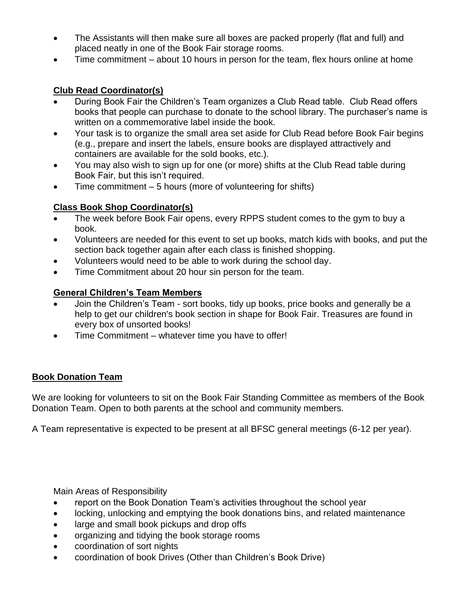- The Assistants will then make sure all boxes are packed properly (flat and full) and placed neatly in one of the Book Fair storage rooms.
- Time commitment about 10 hours in person for the team, flex hours online at home

#### **Club Read Coordinator(s)**

- During Book Fair the Children's Team organizes a Club Read table. Club Read offers books that people can purchase to donate to the school library. The purchaser's name is written on a commemorative label inside the book.
- Your task is to organize the small area set aside for Club Read before Book Fair begins (e.g., prepare and insert the labels, ensure books are displayed attractively and containers are available for the sold books, etc.).
- You may also wish to sign up for one (or more) shifts at the Club Read table during Book Fair, but this isn't required.
- Time commitment  $-5$  hours (more of volunteering for shifts)

## **Class Book Shop Coordinator(s)**

- The week before Book Fair opens, every RPPS student comes to the gym to buy a book.
- Volunteers are needed for this event to set up books, match kids with books, and put the section back together again after each class is finished shopping.
- Volunteers would need to be able to work during the school day.
- Time Commitment about 20 hour sin person for the team.

#### **General Children's Team Members**

- Join the Children's Team sort books, tidy up books, price books and generally be a help to get our children's book section in shape for Book Fair. Treasures are found in every box of unsorted books!
- Time Commitment whatever time you have to offer!

#### **Book Donation Team**

We are looking for volunteers to sit on the Book Fair Standing Committee as members of the Book Donation Team. Open to both parents at the school and community members.

A Team representative is expected to be present at all BFSC general meetings (6-12 per year).

Main Areas of Responsibility

- report on the Book Donation Team's activities throughout the school year
- locking, unlocking and emptying the book donations bins, and related maintenance
- large and small book pickups and drop offs
- organizing and tidying the book storage rooms
- coordination of sort nights
- coordination of book Drives (Other than Children's Book Drive)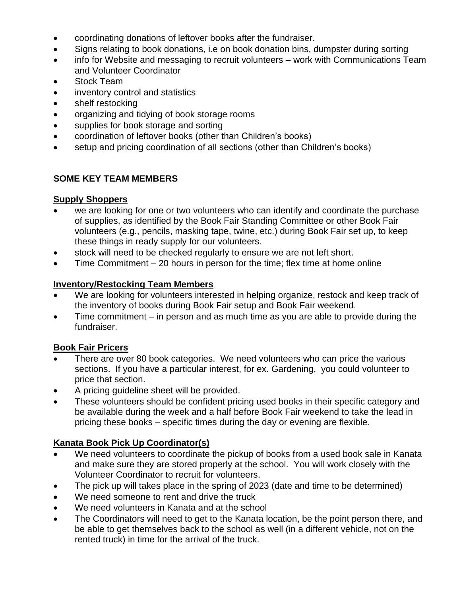- coordinating donations of leftover books after the fundraiser.
- Signs relating to book donations, i.e on book donation bins, dumpster during sorting
- info for Website and messaging to recruit volunteers work with Communications Team and Volunteer Coordinator
- Stock Team
- inventory control and statistics
- shelf restocking
- organizing and tidying of book storage rooms
- supplies for book storage and sorting
- coordination of leftover books (other than Children's books)
- setup and pricing coordination of all sections (other than Children's books)

## **SOME KEY TEAM MEMBERS**

#### **Supply Shoppers**

- we are looking for one or two volunteers who can identify and coordinate the purchase of supplies, as identified by the Book Fair Standing Committee or other Book Fair volunteers (e.g., pencils, masking tape, twine, etc.) during Book Fair set up, to keep these things in ready supply for our volunteers.
- stock will need to be checked regularly to ensure we are not left short.
- Time Commitment  $-20$  hours in person for the time; flex time at home online

#### **Inventory/Restocking Team Members**

- We are looking for volunteers interested in helping organize, restock and keep track of the inventory of books during Book Fair setup and Book Fair weekend.
- Time commitment in person and as much time as you are able to provide during the fundraiser.

#### **Book Fair Pricers**

- There are over 80 book categories. We need volunteers who can price the various sections. If you have a particular interest, for ex. Gardening, you could volunteer to price that section.
- A pricing guideline sheet will be provided.
- These volunteers should be confident pricing used books in their specific category and be available during the week and a half before Book Fair weekend to take the lead in pricing these books – specific times during the day or evening are flexible.

## **Kanata Book Pick Up Coordinator(s)**

- We need volunteers to coordinate the pickup of books from a used book sale in Kanata and make sure they are stored properly at the school. You will work closely with the Volunteer Coordinator to recruit for volunteers.
- The pick up will takes place in the spring of 2023 (date and time to be determined)
- We need someone to rent and drive the truck
- We need volunteers in Kanata and at the school
- The Coordinators will need to get to the Kanata location, be the point person there, and be able to get themselves back to the school as well (in a different vehicle, not on the rented truck) in time for the arrival of the truck.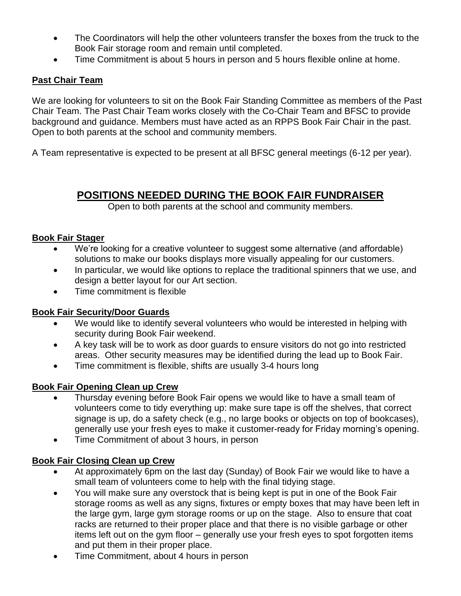- The Coordinators will help the other volunteers transfer the boxes from the truck to the Book Fair storage room and remain until completed.
- Time Commitment is about 5 hours in person and 5 hours flexible online at home.

## **Past Chair Team**

We are looking for volunteers to sit on the Book Fair Standing Committee as members of the Past Chair Team. The Past Chair Team works closely with the Co-Chair Team and BFSC to provide background and guidance. Members must have acted as an RPPS Book Fair Chair in the past. Open to both parents at the school and community members.

A Team representative is expected to be present at all BFSC general meetings (6-12 per year).

# **POSITIONS NEEDED DURING THE BOOK FAIR FUNDRAISER**

Open to both parents at the school and community members.

#### **Book Fair Stager**

- We're looking for a creative volunteer to suggest some alternative (and affordable) solutions to make our books displays more visually appealing for our customers.
- In particular, we would like options to replace the traditional spinners that we use, and design a better layout for our Art section.
- Time commitment is flexible

#### **Book Fair Security/Door Guards**

- We would like to identify several volunteers who would be interested in helping with security during Book Fair weekend.
- A key task will be to work as door guards to ensure visitors do not go into restricted areas. Other security measures may be identified during the lead up to Book Fair.
- Time commitment is flexible, shifts are usually 3-4 hours long

## **Book Fair Opening Clean up Crew**

- Thursday evening before Book Fair opens we would like to have a small team of volunteers come to tidy everything up: make sure tape is off the shelves, that correct signage is up, do a safety check (e.g., no large books or objects on top of bookcases), generally use your fresh eyes to make it customer-ready for Friday morning's opening.
- Time Commitment of about 3 hours, in person

## **Book Fair Closing Clean up Crew**

- At approximately 6pm on the last day (Sunday) of Book Fair we would like to have a small team of volunteers come to help with the final tidying stage.
- You will make sure any overstock that is being kept is put in one of the Book Fair storage rooms as well as any signs, fixtures or empty boxes that may have been left in the large gym, large gym storage rooms or up on the stage. Also to ensure that coat racks are returned to their proper place and that there is no visible garbage or other items left out on the gym floor – generally use your fresh eyes to spot forgotten items and put them in their proper place.
- Time Commitment, about 4 hours in person